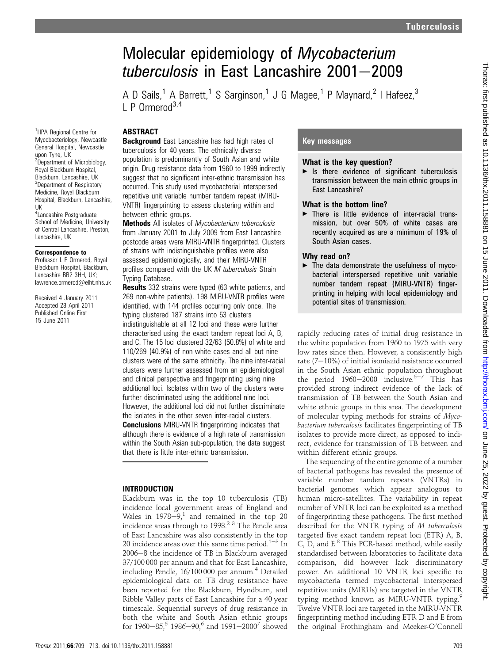# Molecular epidemiology of Mycobacterium tuberculosis in East Lancashire  $2001 - 2009$

A D Sails,<sup>1</sup> A Barrett,<sup>1</sup> S Sarginson,<sup>1</sup> J G Magee,<sup>1</sup> P Maynard,<sup>2</sup> I Hafeez,<sup>3</sup>  $\Gamma$  P Ormerod<sup>3,4</sup>

## **ABSTRACT**

**Background** East Lancashire has had high rates of tuberculosis for 40 years. The ethnically diverse population is predominantly of South Asian and white origin. Drug resistance data from 1960 to 1999 indirectly suggest that no significant inter-ethnic transmission has occurred. This study used mycobacterial interspersed repetitive unit variable number tandem repeat (MIRU-VNTR) fingerprinting to assess clustering within and between ethnic groups.

**Methods** All isolates of Mycobacterium tuberculosis from January 2001 to July 2009 from East Lancashire postcode areas were MIRU-VNTR fingerprinted. Clusters of strains with indistinguishable profiles were also assessed epidemiologically, and their MIRU-VNTR profiles compared with the UK M tuberculosis Strain Typing Database.

**Results** 332 strains were typed (63 white patients, and 269 non-white patients). 198 MIRU-VNTR profiles were identified, with 144 profiles occurring only once. The typing clustered 187 strains into 53 clusters indistinguishable at all 12 loci and these were further characterised using the exact tandem repeat loci A, B, and C. The 15 loci clustered 32/63 (50.8%) of white and 110/269 (40.9%) of non-white cases and all but nine clusters were of the same ethnicity. The nine inter-racial clusters were further assessed from an epidemiological and clinical perspective and fingerprinting using nine additional loci. Isolates within two of the clusters were further discriminated using the additional nine loci. However, the additional loci did not further discriminate the isolates in the other seven inter-racial clusters.

**Conclusions** MIRU-VNTR fingerprinting indicates that although there is evidence of a high rate of transmission within the South Asian sub-population, the data suggest that there is little inter-ethnic transmission.

### INTRODUCTION

Blackburn was in the top 10 tuberculosis (TB) incidence local government areas of England and Wales in  $1978-9$ ,<sup>1</sup> and remained in the top 20 incidence areas through to 1998.2 3 The Pendle area of East Lancashire was also consistently in the top 20 incidence areas over this same time period.<sup>1-3</sup> In 2006-8 the incidence of TB in Blackburn averaged 37/100 000 per annum and that for East Lancashire, including Pendle, 16/100000 per annum.<sup>4</sup> Detailed epidemiological data on TB drug resistance have been reported for the Blackburn, Hyndburn, and Ribble Valley parts of East Lancashire for a 40 year timescale. Sequential surveys of drug resistance in both the white and South Asian ethnic groups for  $1960-85$ ,<sup>5</sup> 1986-90,<sup>6</sup> and  $1991-2000^7$  showed

## Key messages

#### What is the key question?

 $\blacktriangleright$  Is there evidence of significant tuberculosis transmission between the main ethnic groups in East Lancashire?

### What is the bottom line?

 $\blacktriangleright$  There is little evidence of inter-racial transmission, but over 50% of white cases are recently acquired as are a minimum of 19% of South Asian cases.

### Why read on?

 $\blacktriangleright$  The data demonstrate the usefulness of mycobacterial interspersed repetitive unit variable number tandem repeat (MIRU-VNTR) fingerprinting in helping with local epidemiology and potential sites of transmission.

rapidly reducing rates of initial drug resistance in the white population from 1960 to 1975 with very low rates since then. However, a consistently high rate  $(7-10%)$  of initial isoniazid resistance occurred in the South Asian ethnic population throughout the period  $1960-2000$  inclusive.<sup>5-7</sup> This has provided strong indirect evidence of the lack of transmission of TB between the South Asian and white ethnic groups in this area. The development of molecular typing methods for strains of Mycobacterium tuberculosis facilitates fingerprinting of TB isolates to provide more direct, as opposed to indirect, evidence for transmission of TB between and within different ethnic groups.

The sequencing of the entire genome of a number of bacterial pathogens has revealed the presence of variable number tandem repeats (VNTRs) in bacterial genomes which appear analogous to human micro-satellites. The variability in repeat number of VNTR loci can be exploited as a method of fingerprinting these pathogens. The first method described for the VNTR typing of M tuberculosis targeted five exact tandem repeat loci (ETR) A, B, C, D, and  $E^8$  This PCR-based method, while easily standardised between laboratories to facilitate data comparison, did however lack discriminatory power. An additional 10 VNTR loci specific to mycobacteria termed mycobacterial interspersed repetitive units (MIRUs) are targeted in the VNTR typing method known as MIRU-VNTR typing.<sup>9</sup> Twelve VNTR loci are targeted in the MIRU-VNTR fingerprinting method including ETR D and E from the original Frothingham and Meeker-O'Connell

School of Medicine, University of Central Lancashire, Preston, Lancashire, UK

#### Correspondence to

Professor L P Ormerod, Royal Blackburn Hospital, Blackburn, Lancashire BB2 3HH, UK; lawrence.ormerod@elht.nhs.uk

Received 4 January 2011 Accepted 28 April 2011 Published Online First 15 June 2011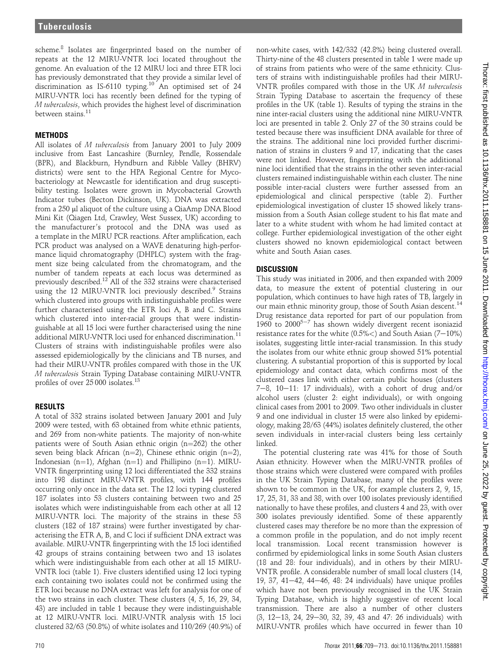scheme.<sup>8</sup> Isolates are fingerprinted based on the number of repeats at the 12 MIRU-VNTR loci located throughout the genome. An evaluation of the 12 MIRU loci and three ETR loci has previously demonstrated that they provide a similar level of discrimination as IS-6110 typing.<sup>10</sup> An optimised set of 24 MIRU-VNTR loci has recently been defined for the typing of M tuberculosis, which provides the highest level of discrimination between stains.<sup>11</sup>

## **METHODS**

All isolates of M tuberculosis from January 2001 to July 2009 inclusive from East Lancashire (Burnley, Pendle, Rossendale (BPR), and Blackburn, Hyndburn and Ribble Valley (BHRV) districts) were sent to the HPA Regional Centre for Mycobacteriology at Newcastle for identification and drug susceptibility testing. Isolates were grown in Mycobacterial Growth Indicator tubes (Becton Dickinson, UK). DNA was extracted from a 250 µl aliquot of the culture using a QiaAmp DNA Blood Mini Kit (Qiagen Ltd, Crawley, West Sussex, UK) according to the manufacturer's protocol and the DNA was used as a template in the MIRU PCR reactions. After amplification, each PCR product was analysed on a WAVE denaturing high-performance liquid chromatography (DHPLC) system with the fragment size being calculated from the chromatogram, and the number of tandem repeats at each locus was determined as previously described.<sup>12</sup> All of the 332 strains were characterised using the 12 MIRU-VNTR loci previously described.<sup>9</sup> Strains which clustered into groups with indistinguishable profiles were further characterised using the ETR loci A, B and C. Strains which clustered into inter-racial groups that were indistinguishable at all 15 loci were further characterised using the nine additional MIRU-VNTR loci used for enhanced discrimination.<sup>11</sup> Clusters of strains with indistinguishable profiles were also assessed epidemiologically by the clinicians and TB nurses, and had their MIRU-VNTR profiles compared with those in the UK M tuberculosis Strain Typing Database containing MIRU-VNTR profiles of over 25 000 isolates.<sup>13</sup>

## RESULTS

A total of 332 strains isolated between January 2001 and July 2009 were tested, with 63 obtained from white ethnic patients, and 269 from non-white patients. The majority of non-white patients were of South Asian ethnic origin  $(n=262)$  the other seven being black African (n=2), Chinese ethnic origin (n=2), Indonesian (n=1), Afghan (n=1) and Phillipino (n=1). MIRU-VNTR fingerprinting using 12 loci differentiated the 332 strains into 198 distinct MIRU-VNTR profiles, with 144 profiles occurring only once in the data set. The 12 loci typing clustered 187 isolates into 53 clusters containing between two and 25 isolates which were indistinguishable from each other at all 12 MIRU-VNTR loci. The majority of the strains in these 53 clusters (182 of 187 strains) were further investigated by characterising the ETR A, B, and C loci if sufficient DNA extract was available. MIRU-VNTR fingerprinting with the 15 loci identified 42 groups of strains containing between two and 13 isolates which were indistinguishable from each other at all 15 MIRU-VNTR loci (table 1). Five clusters identified using 12 loci typing each containing two isolates could not be confirmed using the ETR loci because no DNA extract was left for analysis for one of the two strains in each cluster. These clusters (4, 5, 16, 29, 34, 43) are included in table 1 because they were indistinguishable at 12 MIRU-VNTR loci. MIRU-VNTR analysis with 15 loci clustered 32/63 (50.8%) of white isolates and 110/269 (40.9%) of

non-white cases, with 142/332 (42.8%) being clustered overall. Thirty-nine of the 48 clusters presented in table 1 were made up of strains from patients who were of the same ethnicity. Clusters of strains with indistinguishable profiles had their MIRU-VNTR profiles compared with those in the UK M tuberculosis Strain Typing Database to ascertain the frequency of these profiles in the UK (table 1). Results of typing the strains in the nine inter-racial clusters using the additional nine MIRU-VNTR loci are presented in table 2. Only 27 of the 30 strains could be tested because there was insufficient DNA available for three of the strains. The additional nine loci provided further discrimination of strains in clusters 9 and 17, indicating that the cases were not linked. However, fingerprinting with the additional nine loci identified that the strains in the other seven inter-racial clusters remained indistinguishable within each cluster. The nine possible inter-racial clusters were further assessed from an epidemiological and clinical perspective (table 2). Further epidemiological investigation of cluster 15 showed likely transmission from a South Asian college student to his flat mate and later to a white student with whom he had limited contact at college. Further epidemiological investigation of the other eight clusters showed no known epidemiological contact between white and South Asian cases.

## **DISCUSSION**

This study was initiated in 2006, and then expanded with 2009 data, to measure the extent of potential clustering in our population, which continues to have high rates of TB, largely in our main ethnic minority group, those of South Asian descent.<sup>14</sup> Drug resistance data reported for part of our population from 1960 to 2000<sup>5-7</sup> has shown widely divergent recent isoniazid resistance rates for the white  $(0.5\%<)$  and South Asian  $(7-10\%)$ isolates, suggesting little inter-racial transmission. In this study the isolates from our white ethnic group showed 51% potential clustering. A substantial proportion of this is supported by local epidemiology and contact data, which confirms most of the clustered cases link with either certain public houses (clusters 7-8, 10-11: 17 individuals), with a cohort of drug and/or alcohol users (cluster 2: eight individuals), or with ongoing clinical cases from 2001 to 2009. Two other individuals in cluster 9 and one individual in cluster 15 were also linked by epidemiology, making 28/63 (44%) isolates definitely clustered, the other seven individuals in inter-racial clusters being less certainly linked.

The potential clustering rate was 41% for those of South Asian ethnicity. However when the MIRU-VNTR profiles of those strains which were clustered were compared with profiles in the UK Strain Typing Database, many of the profiles were shown to be common in the UK, for example clusters 2, 9, 15, 17, 25, 31, 33 and 38, with over 100 isolates previously identified nationally to have these profiles, and clusters 4 and 23, with over 300 isolates previously identified. Some of these apparently clustered cases may therefore be no more than the expression of a common profile in the population, and do not imply recent local transmission. Local recent transmission however is confirmed by epidemiological links in some South Asian clusters (18 and 28: four individuals), and in others by their MIRU-VNTR profile. A considerable number of small local clusters (14, 19, 37, 41 $-42$ , 44 $-46$ , 48: 24 individuals) have unique profiles which have not been previously recognised in the UK Strain Typing Database, which is highly suggestive of recent local transmission. There are also a number of other clusters  $(3, 12-13, 24, 29-30, 32, 39, 43, and 47: 26, individuals) with$ MIRU-VNTR profiles which have occurred in fewer than 10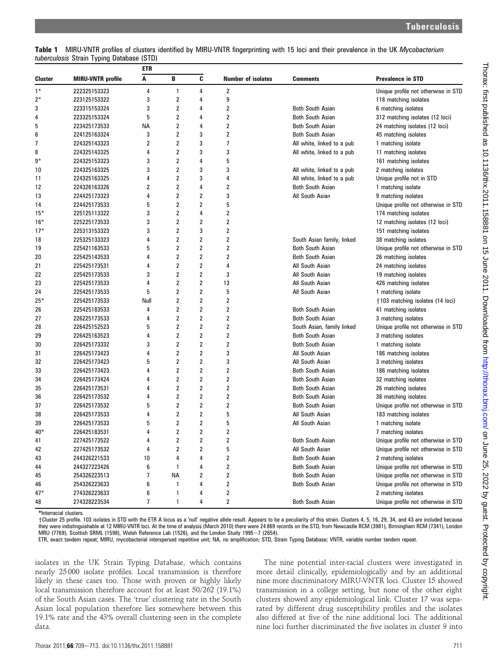| Table 1 MIRU-VNTR profiles of clusters identified by MIRU-VNTR fingerprinting with 15 loci and their prevalence in the UK Mycobacterium |  |  |  |  |  |  |
|-----------------------------------------------------------------------------------------------------------------------------------------|--|--|--|--|--|--|
| <i>tuberculosis Strain Typing Database (STD)</i>                                                                                        |  |  |  |  |  |  |

|         |                          | etr            |                         |                         |                    |                            |                                     |
|---------|--------------------------|----------------|-------------------------|-------------------------|--------------------|----------------------------|-------------------------------------|
| Cluster | <b>MIRU-VNTR</b> profile | Α              | B                       | C                       | Number of isolates | <b>Comments</b>            | Prevalence in STD                   |
| $1*$    | 222325153323             | 4              | 1                       | 4                       | 2                  |                            | Unique profile not otherwise in STD |
| $2*$    | 223125153322             | 3              | 2                       | 4                       | 9                  |                            | 118 matching isolates               |
| 3       | 223315153324             | 3              | 2                       | 4                       | 2                  | <b>Both South Asian</b>    | 6 matching isolates                 |
| 4       | 223325153324             | 5              | 2                       | 4                       | 2                  | <b>Both South Asian</b>    | 312 matching isolates (12 loci)     |
| 5       | 223425173533             | NА             | 2                       | 4                       | 2                  | <b>Both South Asian</b>    | 24 matching isolates (12 loci)      |
| 6       | 224125163324             | 3              | 2                       | 3                       | 2                  | <b>Both South Asian</b>    | 45 matching isolates                |
| 7       | 224325143323             | 2              | 2                       | 3                       | 7                  | All white, linked to a pub | 1 matching isolate                  |
| 8       | 224325143325             | 4              | 2                       | 3                       | 3                  | All white, linked to a pub | 11 matching isolates                |
| 9*      | 224325153323             | 3              | 2                       | 4                       | 5                  |                            | 161 matching isolates               |
| 10      | 224325163325             | 3              | $\overline{2}$          | 3                       | 3                  | All white, linked to a pub | 2 matching isolates                 |
| 11      | 224325163325             | 4              | 2                       | 3                       | 4                  | All white, linked to a pub | Unique profile not in STD           |
| 12      | 224326163326             | $\overline{2}$ | 2                       | 4                       | 2                  | <b>Both South Asian</b>    | 1 matching isolate                  |
| 13      | 224425173323             | 4              | 2                       | 2                       | 3                  | All South Asian            | 9 matching isolates                 |
| 14      | 224425173533             | 5              | 2                       | 2                       | 5                  |                            | Unique profile not otherwise in STD |
| $15*$   | 225125113322             | 3              | 2                       | 4                       | 2                  |                            | 174 matching isolates               |
| $16*$   | 225225173533             | 3              | 2                       | 2                       | 2                  |                            | 12 matching isolates (12 loci)      |
| $17*$   | 225313153323             | 3              | 2                       | 3                       | 2                  |                            | 151 matching isolates               |
| 18      | 225325133323             | 4              | 2                       | 2                       | 2                  | South Asian family, linked | 38 matching isolates                |
| 19      | 225421163533             | 5              | 2                       | 2                       | 2                  | <b>Both South Asian</b>    | Unique profile not otherwise in STD |
| 20      | 225425143533             | 4              | 2                       | 2                       | 2                  | <b>Both South Asian</b>    | 26 matching isolates                |
| 21      | 225425173531             | 4              | 2                       | $\overline{\mathbf{2}}$ | 4                  | All South Asian            | 24 matching isolates                |
| 22      | 225425173533             | 3              | 2                       | 2                       | 3                  | All South Asian            | 19 matching isolates                |
| 23      | 225425173533             | 4              | 2                       | 2                       | 13                 | All South Asian            | 426 matching isolates               |
| 24      | 225425173533             | 5              | 2                       | 2                       | 5                  | All South Asian            | 1 matching isolate                  |
| $25*$   | 225425173533             | Null           | 2                       | $\overline{\mathbf{2}}$ | 2                  |                            | †103 matching isolates (14 loci)    |
| 26      | 225425183533             | 4              | 2                       | 2                       | 2                  | <b>Both South Asian</b>    | 41 matching isolates                |
| 27      | 226225173533             | 4              | 2                       | 2                       | 2                  | <b>Both South Asian</b>    | 3 matching isolates                 |
| 28      | 226425152523             | 5              | 2                       | 2                       | 2                  | South Asian, family linked | Unique profile not otherwise in STD |
| 29      | 226425163523             | 4              | 2                       | $\overline{\mathbf{2}}$ | 2                  | <b>Both South Asian</b>    | 3 matching isolates                 |
| 30      | 226425173332             | 3              | 2                       | 2                       | 2                  | <b>Both South Asian</b>    | 1 matching isolate                  |
| 31      | 226425173423             | 4              | 2                       | 2                       | 3                  | All South Asian            | 186 matching isolates               |
| 32      | 226425173423             | 5              | 2                       | 2                       | 3                  | All South Asian            | 3 matching isolates                 |
| 33      | 226425173423             | 4              | $\overline{\mathbf{c}}$ | $\mathbf 2$             | 2                  | <b>Both South Asian</b>    | 186 matching isolates               |
| 34      | 226425173424             | 4              | 2                       | 2                       | 2                  | <b>Both South Asian</b>    | 32 matching isolates                |
| 35      | 226425173531             | 4              | 2                       | 2                       | 2                  | <b>Both South Asian</b>    | 26 matching isolates                |
| 36      | 226425173532             | 4              | 2                       | 2                       | 2                  | <b>Both South Asian</b>    | 38 matching isolates                |
| 37      | 226425173532             | 5              | 2                       | $\boldsymbol{2}$        | 2                  | <b>Both South Asian</b>    | Unique profile not otherwise in STD |
| 38      | 226425173533             | 4              | 2                       | 2                       | 5                  | All South Asian            | 183 matching isolates               |
| 39      | 226425173533             | 5              | 2                       | 2                       | 5                  | All South Asian            | 1 matching isolate                  |
| $40*$   | 226425183531             | 4              | 2                       | 2                       | 2                  |                            | 7 matching isolates                 |
| 41      | 227425173522             |                | 2                       | 2                       | 2                  | Both South Asian           | Unique profile not otherwise in STD |
| 42      | 227425173532             | 4              | 2                       | 2                       | 5                  | All South Asian            | Unique profile not otherwise in STD |
| 43      | 244326221533             | 10             | 4                       | 4                       | 2                  | <b>Both South Asian</b>    | 2 matching isolates                 |
| 44      | 244327223426             | 6              | $\mathbf{1}$            | 4                       | 2                  | <b>Both South Asian</b>    | Unique profile not otherwise in STD |
| 45      | 254326223513             | 7              | ΝA                      | 2                       | 2                  | <b>Both South Asian</b>    | Unique profile not otherwise in STD |
| 46      | 254326223633             | 6              | 1                       | 4                       | 2                  | <b>Both South Asian</b>    | Unique profile not otherwise in STD |
| $47*$   | 274326223633             | 6              | 1                       | 4                       | 2                  |                            | 2 matching isolates                 |
| 48      | 274328223534             | 7              | 1                       | 4                       | 2                  | <b>Both South Asian</b>    | Unique profile not otherwise in STD |

\*Interracial clusters.

yCluster 25 profile. 103 isolates in STD with the ETR A locus as a 'null' negative allele result. Appears to be a peculiarity of this strain. Clusters 4, 5, 16, 29, 34, and 43 are included because they were indistinguishable at 12 MIRU-VNTR loci. At the time of analysis (March 2010) there were 24 869 records on the STD, from Newcastle RCM (3981), Birmingham RCM (7341), London MRU (7769), Scottish SRML (1598), Welsh Reference Lab (1526), and the London Study 1995 $-7$  (2654).

ETR, exact tandem repeat; MIRU, mycobacterial interspersed repetitive unit; NA, no amplification; STD, Strain Typing Database; VNTR, variable number tandem repeat.

isolates in the UK Strain Typing Database, which contains nearly 25 000 isolate profiles. Local transmission is therefore likely in these cases too. Those with proven or highly likely local transmission therefore account for at least 50/262 (19.1%) of the South Asian cases. The 'true' clustering rate in the South Asian local population therefore lies somewhere between this 19.1% rate and the 43% overall clustering seen in the complete data.

The nine potential inter-racial clusters were investigated in more detail clinically, epidemiologically and by an additional nine more discriminatory MIRU-VNTR loci. Cluster 15 showed transmission in a college setting, but none of the other eight clusters showed any epidemiological link. Cluster 17 was separated by different drug susceptibility profiles and the isolates also differed at five of the nine additional loci. The additional nine loci further discriminated the five isolates in cluster 9 into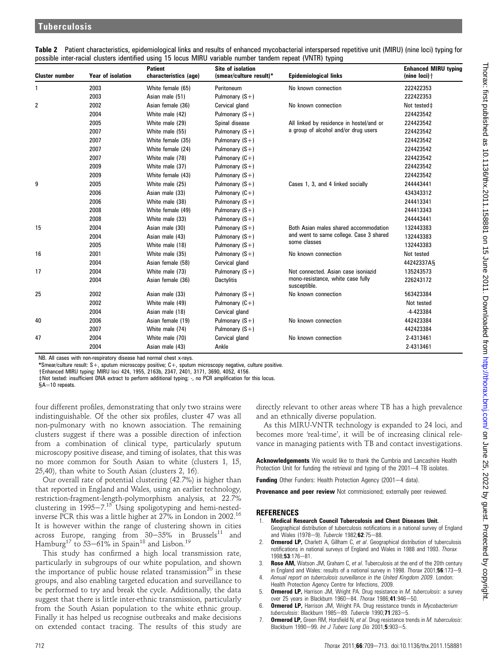| <b>Cluster number</b> | <b>Year of isolation</b> | <b>Patient</b><br>characteristics (age) | <b>Site of isolation</b><br>(smear/culture result)* | <b>Epidemiological links</b>                      | <b>Enhanced MIRU typing</b><br>(nine $loci)$ $\dagger$ |
|-----------------------|--------------------------|-----------------------------------------|-----------------------------------------------------|---------------------------------------------------|--------------------------------------------------------|
| 1                     | 2003                     | White female (65)                       | Peritoneum                                          | No known connection                               | 222422353                                              |
|                       | 2003                     | Asian male (51)                         | Pulmonary $(S+)$                                    |                                                   | 222422353                                              |
| 2                     | 2002                     | Asian female (36)                       | Cervical gland                                      | No known connection                               | Not tested‡                                            |
|                       | 2004                     | White male (42)                         | Pulmonary $(S+)$                                    |                                                   | 224423542                                              |
|                       | 2005                     | White male (29)                         | Spinal disease                                      | All linked by residence in hostel/and or          | 224423542                                              |
|                       | 2007                     | White male (55)                         | Pulmonary $(S+)$                                    | a group of alcohol and/or drug users              | 224423542                                              |
|                       | 2007                     | White female (35)                       | Pulmonary $(S+)$                                    |                                                   | 224423542                                              |
|                       | 2007                     | White female (24)                       | Pulmonary $(S+)$                                    |                                                   | 224423542                                              |
|                       | 2007                     | White male (78)                         | Pulmonary $(C+)$                                    |                                                   | 224423542                                              |
|                       | 2009                     | White male (37)                         | Pulmonary $(S+)$                                    |                                                   | 224423542                                              |
|                       | 2009                     | White female (43)                       | Pulmonary $(S+)$                                    |                                                   | 224423542                                              |
| 9                     | 2005                     | White male (25)                         | Pulmonary $(S+)$                                    | Cases 1, 3, and 4 linked socially                 | 244443441                                              |
|                       | 2006                     | Asian male (33)                         | Pulmonary $(C+)$                                    |                                                   | 434343312                                              |
|                       | 2006                     | White male (38)                         | Pulmonary $(S+)$                                    |                                                   | 244413341                                              |
|                       | 2008                     | White female (49)                       | Pulmonary $(S+)$                                    |                                                   | 244413343                                              |
|                       | 2008                     | White male (33)                         | Pulmonary $(S+)$                                    |                                                   | 244443441                                              |
| 15                    | 2004                     | Asian male (30)                         | Pulmonary $(S+)$                                    | Both Asian males shared accommodation             | 132443383                                              |
|                       | 2004                     | Asian male (43)                         | Pulmonary $(S+)$                                    | and went to same college. Case 3 shared           | 132443383                                              |
|                       | 2005                     | White male (18)                         | Pulmonary $(S+)$                                    | some classes                                      | 132443383                                              |
| 16                    | 2001                     | White male (35)                         | Pulmonary $(S+)$                                    | No known connection                               | Not tested                                             |
|                       | 2004                     | Asian female (58)                       | Cervical gland                                      |                                                   | 44242337AS                                             |
| 17                    | 2004                     | White male (73)                         | Pulmonary $(S+)$                                    | Not connected. Asian case isoniazid               | 135243573                                              |
|                       | 2004                     | Asian female (36)                       | <b>Dactylitis</b>                                   | mono-resistance, white case fully<br>susceptible. | 226243172                                              |
| 25                    | 2002                     | Asian male (33)                         | Pulmonary $(S+)$                                    | No known connection                               | 563423384                                              |
|                       | 2002                     | White male (49)                         | Pulmonary $(C+)$                                    |                                                   | Not tested                                             |
|                       | 2004                     | Asian male (18)                         | Cervical gland                                      |                                                   | $-4 - 423384$                                          |
| 40                    | 2006                     | Asian female (19)                       | Pulmonary $(S+)$                                    | No known connection                               | 442423384                                              |
|                       | 2007                     | White male (74)                         | Pulmonary $(S+)$                                    |                                                   | 442423384                                              |
| 47                    | 2004                     | White male (70)                         | Cervical gland                                      | No known connection                               | 2-4313461                                              |
|                       | 2004                     | Asian male (43)                         | Ankle                                               |                                                   | 2-4313461                                              |

Table 2 Patient characteristics, epidemiological links and results of enhanced mycobacterial interspersed repetitive unit (MIRU) (nine loci) typing for possible inter-racial clusters identified using 15 locus MIRU variable number tandem repeat (VNTR) typing

NB. All cases with non-respiratory disease had normal chest x-rays.

\*Smear/culture result: S+, sputum microscopy positive; C+, sputum microscopy negative, culture positive.

yEnhanced MIRU typing: MIRU loci 424, 1955, 2163b, 2347, 2401, 3171, 3690, 4052, 4156.

 $\pm$ Not tested: insufficient DNA extract to perform additional typing; -, no PCR amplification for this locus.

 $A=10$  repeats.

four different profiles, demonstrating that only two strains were indistinguishable. Of the other six profiles, cluster 47 was all non-pulmonary with no known association. The remaining clusters suggest if there was a possible direction of infection from a combination of clinical type, particularly sputum microscopy positive disease, and timing of isolates, that this was no more common for South Asian to white (clusters 1, 15, 25,40), than white to South Asian (clusters 2, 16).

Our overall rate of potential clustering (42.7%) is higher than that reported in England and Wales, using an earlier technology, restriction-fragment-length-polymorphism analysis, at 22.7% clustering in  $1995-7.15$  Using spoligotyping and hemi-nestedinverse PCR this was a little higher at 27% in London in 2002.16 It is however within the range of clustering shown in cities across Europe, ranging from 30 $-35\%$  in Brussels $^{11}$  and Hamburg $^{17}$  to 53—61% in Spain $^{18}$  and Lisbon. $^{19}$ 

This study has confirmed a high local transmission rate, particularly in subgroups of our white population, and shown the importance of public house related transmission<sup>20</sup> in these groups, and also enabling targeted education and surveillance to be performed to try and break the cycle. Additionally, the data suggest that there is little inter-ethnic transmission, particularly from the South Asian population to the white ethnic group. Finally it has helped us recognise outbreaks and make decisions on extended contact tracing. The results of this study are

directly relevant to other areas where TB has a high prevalence and an ethnically diverse population.

As this MIRU-VNTR technology is expanded to 24 loci, and becomes more 'real-time', it will be of increasing clinical relevance in managing patients with TB and contact investigations.

Acknowledgements We would like to thank the Cumbria and Lancashire Health Protection Unit for funding the retrieval and typing of the 2001-4 TB isolates.

Funding Other Funders: Health Protection Agency (2001-4 data).

Provenance and peer review Not commissioned; externally peer reviewed.

### **REFERENCES**

- 1. Medical Research Council Tuberculosis and Chest Diseases Unit.
- Geographical distribution of tuberculosis notifications in a national survey of England and Wales (1978-9). Tubercle 1982;62:75-88.
- **Ormerod LP,** Charlett A, Gillham C, et al. Geographical distribution of tuberculosis notifications in national surveys of England and Wales in 1988 and 1993. Thorax 1998;53:176-81.
- 3. Rose AM, Watson JM, Graham C, et al. Tuberculosis at the end of the 20th century in England and Wales: results of a national survey in 1998. Thorax 2001;56:173-9.
- 4. Annual report on tuberculosis surveillance in the United Kingdom 2009. London: Health Protection Agency Centre for Infections, 2009.
- 5. **Ormerod LP, Harrison JM, Wright PA. Drug resistance in M. tuberculosis: a survey** over 25 years in Blackburn 1960-84. Thorax 1986;41:946-50.
- 6. **Ormerod LP,** Harrison JM, Wright PA. Drug resistance trends in Mycobacterium tuberculosis: Blackburn 1985-89. Tubercle 1990;71:283-5.
- 7. **Ormerod LP,** Green RM, Horsfield N, et al. Drug resistance trends in *M. tuberculosis*: Blackburn 1990-99. Int J Tuberc Lung Dis 2001;5:903-5.